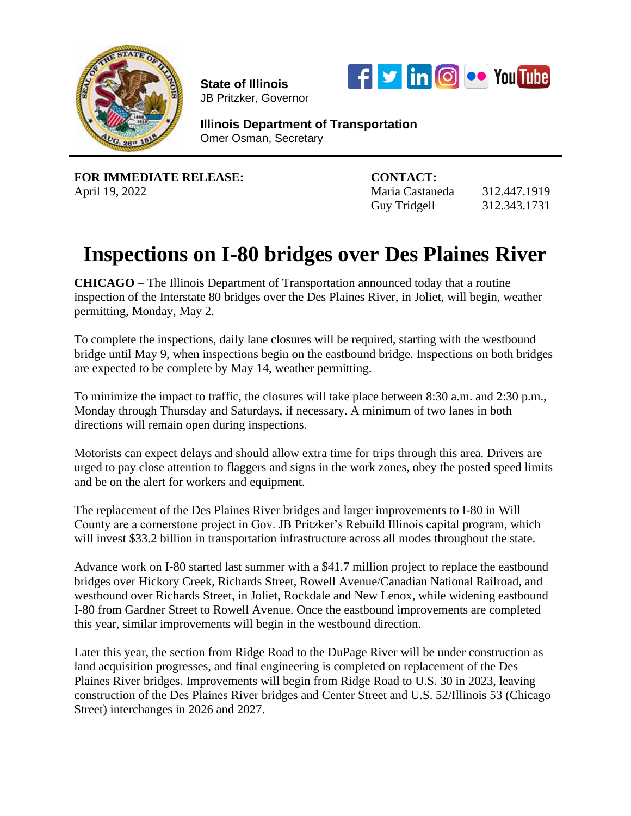

**State of Illinois**  JB Pritzker, Governor



**Illinois Department of Transportation** Omer Osman, Secretary

**FOR IMMEDIATE RELEASE: CONTACT:**

April 19, 2022 Maria Castaneda 312.447.1919 Guy Tridgell 312.343.1731

## **Inspections on I-80 bridges over Des Plaines River**

**CHICAGO** – The Illinois Department of Transportation announced today that a routine inspection of the Interstate 80 bridges over the Des Plaines River, in Joliet, will begin, weather permitting, Monday, May 2.

To complete the inspections, daily lane closures will be required, starting with the westbound bridge until May 9, when inspections begin on the eastbound bridge. Inspections on both bridges are expected to be complete by May 14, weather permitting.

To minimize the impact to traffic, the closures will take place between 8:30 a.m. and 2:30 p.m., Monday through Thursday and Saturdays, if necessary. A minimum of two lanes in both directions will remain open during inspections.

Motorists can expect delays and should allow extra time for trips through this area. Drivers are urged to pay close attention to flaggers and signs in the work zones, obey the posted speed limits and be on the alert for workers and equipment.

The replacement of the Des Plaines River bridges and larger improvements to I-80 in Will County are a cornerstone project in Gov. JB Pritzker's Rebuild Illinois capital program, which will invest \$33.2 billion in transportation infrastructure across all modes throughout the state.

Advance work on I-80 started last summer with a \$41.7 million project to replace the eastbound bridges over Hickory Creek, Richards Street, Rowell Avenue/Canadian National Railroad, and westbound over Richards Street, in Joliet, Rockdale and New Lenox, while widening eastbound I-80 from Gardner Street to Rowell Avenue. Once the eastbound improvements are completed this year, similar improvements will begin in the westbound direction.

Later this year, the section from Ridge Road to the DuPage River will be under construction as land acquisition progresses, and final engineering is completed on replacement of the Des Plaines River bridges. Improvements will begin from Ridge Road to U.S. 30 in 2023, leaving construction of the Des Plaines River bridges and Center Street and U.S. 52/Illinois 53 (Chicago Street) interchanges in 2026 and 2027.